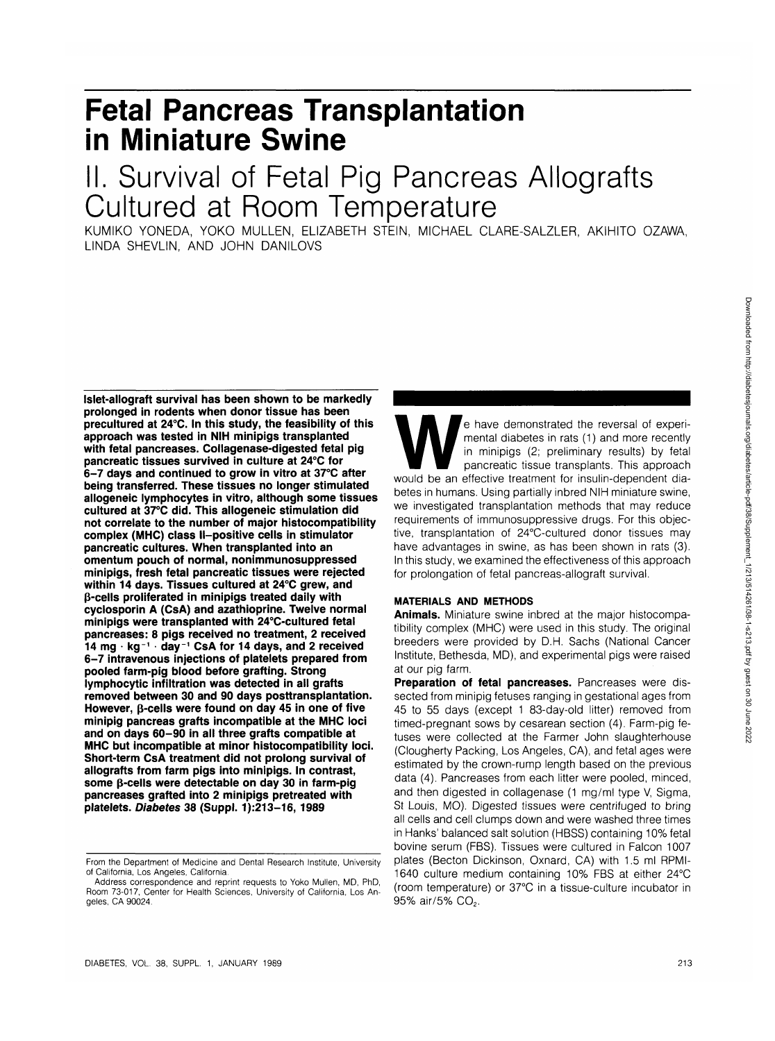# **Fetal Pancreas Transplantation in Miniature Swine**

## II. Survival of Fetal Pig Pancreas Allografts Cultured at Room Temperature

KUMIKO YONEDA, YOKO MULLEN, ELIZABETH STEIN, MICHAEL CLARE-SALZLER, AKIHITO OZAWA, LINDA SHEVLIN, AND JOHN DANILOVS

**Islet-allograft survival has been shown to be markedly prolonged in rodents when donor tissue has been precultured at 24°C. In this study, the feasibility of this approach was tested in NIH minipigs transplanted with fetal pancreases. Collagenase-digested fetal pig pancreatic tissues survived in culture at 24°C for 6-7 days and continued to grow in vitro at 37°C after being transferred. These tissues no longer stimulated allogeneic lymphocytes in vitro, although some tissues cultured at 37°C did. This allogeneic stimulation did not correlate to the number of major histocompatibility complex (MHC) class ll-positive cells in stimulator pancreatic cultures. When transplanted into an omentum pouch of normal, nonimmunosuppressed minipigs, fresh fetal pancreatic tissues were rejected within 14 days. Tissues cultured at 24°C grew, and p-cells proliferated in minipigs treated daily with cyclosporin A (CsA) and azathioprine. Twelve normal minipigs were transplanted with 24°C-cultured fetal pancreases: 8 pigs received no treatment, 2 received 14 mg • kg <sup>1</sup> • day<sup>1</sup> CsA for 14 days, and 2 received 6-7 intravenous injections of platelets prepared from pooled farm-pig blood before grafting. Strong lymphocytic infiltration was detected in all grafts removed between 30 and 90 days posttransplantation. However, p-cells were found on day 45 in one of five minipig pancreas grafts incompatible at the MHC loci and on days 60-90 in all three grafts compatible at MHC but incompatible at minor histocompatibility loci. Short-term CsA treatment did not prolong survival of allografts from farm pigs into minipigs. In contrast, some p-cells were detectable on day 30 in farm-pig pancreases grafted into 2 minipigs pretreated with platelets. Diabetes 38 (Suppl. 1):213-16, 1989**

e have demonstrated the reversal of experi-<br>
mental diabetes in rats (1) and more recently<br>
in minipigs (2; preliminary results) by feta<br>
pancreatic tissue transplants. This approach<br>
would be an effective treatment for in mental diabetes in rats (1) and more recently in minipigs (2; preliminary results) by fetal pancreatic tissue transplants. This approach betes in humans. Using partially inbred NIH miniature swine, we investigated transplantation methods that may reduce requirements of immunosuppressive drugs. For this objective, transplantation of 24°C-cultured donor tissues may have advantages in swine, as has been shown in rats (3). In this study, we examined the effectiveness of this approach for prolongation of fetal pancreas-allograft survival.

## **MATERIALS AND METHODS**

**Animals.** Miniature swine inbred at the major histocompatibility complex (MHC) were used in this study. The original breeders were provided by D.H. Sachs (National Cancer Institute, Bethesda, MD), and experimental pigs were raised at our pig farm.

**Preparation of fetal pancreases.** Pancreases were dissected from minipig fetuses ranging in gestational ages from 45 to 55 days (except 1 83-day-old litter) removed from timed-pregnant sows by cesarean section (4). Farm-pig fetuses were collected at the Farmer John slaughterhouse (Clougherty Packing, Los Angeles, CA), and fetal ages were estimated by the crown-rump length based on the previous data (4). Pancreases from each litter were pooled, minced, and then digested in collagenase (1 mg/ml type V, Sigma, St Louis, MO). Digested tissues were centrifuged to bring all cells and cell clumps down and were washed three times in Hanks' balanced salt solution (HBSS) containing 10% fetal bovine serum (FBS). Tissues were cultured in Falcon 1007 plates (Becton Dickinson, Oxnard, CA) with 1.5 ml RPMI-1640 culture medium containing 10% FBS at either 24°C (room temperature) or 37°C in a tissue-culture incubator in 95% air/5% CO<sub>2</sub>.

From the Department of Medicine and Dental Research Institute, University of California, Los Angeles, California.

Address correspondence and reprint requests to Yoko Mullen, MD, PhD, Room 73-017, Center for Health Sciences, University of California, Los Angeles, CA 90024.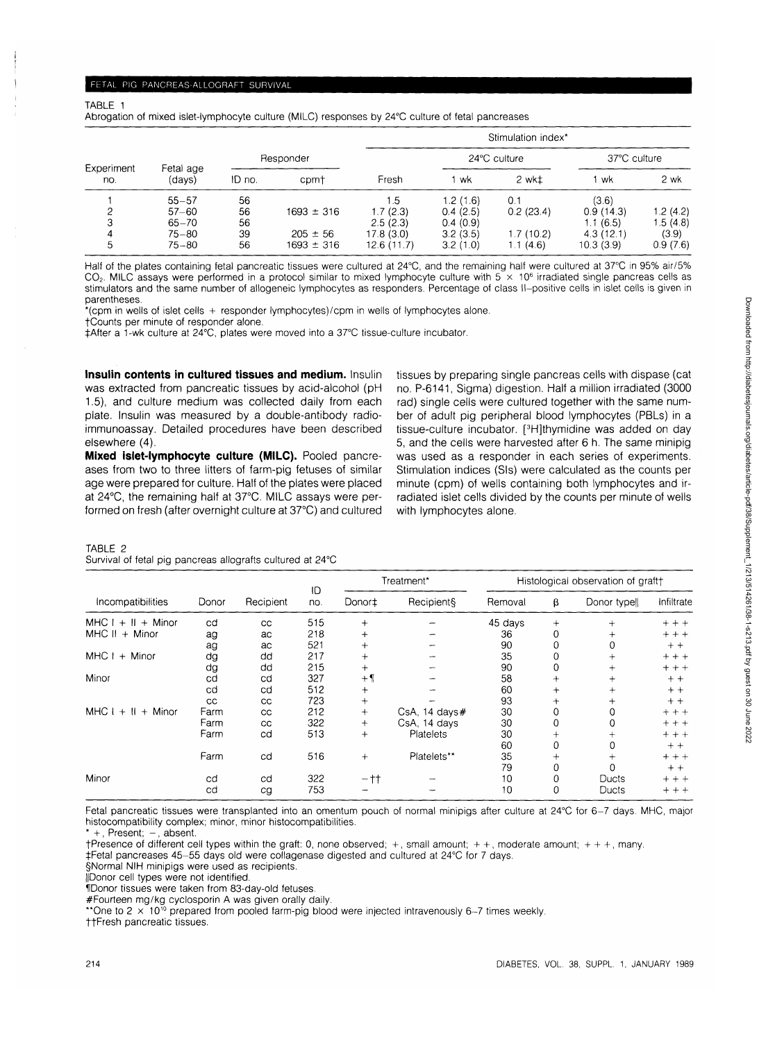## FETAL PIG PANCREAS-ALLOGRAFT SURVIVAL

#### TABLE 1

Abrogation of mixed islet-lymphocyte culture (MILC) responses by 24°C culture of fetal pancreases

| Experiment<br>no. | Fetal age<br>(days) |           |                | Stimulation index* |              |                      |              |           |  |  |
|-------------------|---------------------|-----------|----------------|--------------------|--------------|----------------------|--------------|-----------|--|--|
|                   |                     | Responder |                |                    | 24°C culture |                      | 37°C culture |           |  |  |
|                   |                     | ID no.    | cpmt           | Fresh              | wk           | 2 wkt                | wk           | 2 wk      |  |  |
|                   | $55 - 57$           | 56        |                | l .5               | 1.2(1.6)     | 0.1                  | (3.6)        |           |  |  |
| ົ                 | $57 - 60$           | 56        | $1693 \pm 316$ | 1.7(2.3)           | 0.4(2.5)     | 0.2(23.4)            | 0.9(14.3)    | 1.2(4.2)  |  |  |
|                   | $65 - 70$           | 56        |                | 2.5(2.3)           | 0.4(0.9)     |                      | 1.1(6.5)     | 1.5 (4.8) |  |  |
|                   | 75–80               | 39        | $205 \pm 56$   | 17.8(3.0)          | 3.2(3.5)     | 1.7 (10.2)           | 4.3(12.1)    | (3.9)     |  |  |
| 5                 | 75-80               | 56        | $1693 \pm 316$ | 12.6(11.7)         | 3.2(1.0)     | i (4.6)<br>$\cdot$ 1 | 10.3(3.9)    | 0.9(7.6)  |  |  |

Half of the plates containing fetal pancreatic tissues were cultured at 24°C, and the remaining half were cultured at 37°C in 95% air/5% CO<sub>2</sub>. MILC assays were performed in a protocol similar to mixed lymphocyte culture with 5  $\times$  10<sup>6</sup> irradiated single pancreas cells as stimulators and the same number of allogeneic lymphocytes as responders. Percentage of class II—positive cells in islet cells is given in parentheses.

\*(cpm in wells of islet cells + responder lymphocytes)/cpm in wells of lymphocytes alone.

fCounts per minute of responder alone.

tAfter a 1-wk culture at 24°C, plates were moved into a 37°C tissue-culture incubator.

**Insulin contents in cultured tissues and medium.** Insulin was extracted from pancreatic tissues by acid-alcohol (pH 1.5), and culture medium was collected daily from each plate. Insulin was measured by a double-antibody radioimmunoassay. Detailed procedures have been described elsewhere (4).

**Mixed islet-lymphocyte culture (MILC).** Pooled pancreases from two to three litters of farm-pig fetuses of similar age were prepared for culture. Half of the plates were placed at 24°C, the remaining half at 37°C. MILC assays were performed on fresh (after overnight culture at 37°C) and cultured tissues by preparing single pancreas cells with dispase (cat no. P-6141, Sigma) digestion. Half a million irradiated (3000 rad) single cells were cultured together with the same number of adult pig peripheral blood lymphocytes (PBLs) in a tissue-culture incubator. [<sup>3</sup> H]thymidine was added on day 5, and the cells were harvested after 6 h. The same minipig was used as a responder in each series of experiments. Stimulation indices (Sis) were calculated as the counts per minute (cpm) of wells containing both lymphocytes and irradiated islet cells divided by the counts per minute of wells with lymphocytes alone.

#### TABLE 2

#### Survival of fetal pig pancreas allografts cultured at 24°C

|                      | Donor | Recipient | ID<br>no. | Treatment* |                     | Histological observation of graft+ |        |              |            |
|----------------------|-------|-----------|-----------|------------|---------------------|------------------------------------|--------|--------------|------------|
| Incompatibilities    |       |           |           | Donor‡     | Recipient§          | Removal                            | β      | Donor typell | Infiltrate |
| $MHC I + II + Minor$ | cd    | CC.       | 515       | $+$        |                     | 45 days                            | $+$    | $^{+}$       | $+ + +$    |
| $MHC II + Minor$     | ag    | ac        | 218       | $^{+}$     |                     | 36                                 | 0      | $\ddot{}$    | $+ + +$    |
|                      | ag    | ac        | 521       | $^{+}$     |                     | 90                                 | 0      | 0            | $+ +$      |
| MHC I<br>+ Minor     | dg    | dd        | 217       | $^{+}$     |                     | 35                                 |        | $^+$         | $+ + +$    |
|                      | dg    | dd        | 215       | $+$        |                     | 90                                 |        | $^{+}$       | $+ + +$    |
| Minor                | cd    | cd        | 327       | $+$        |                     | 58                                 | $+$    | $^{+}$       | $+ +$      |
|                      | cd    | cd        | 512       | $^{+}$     |                     | 60                                 | $^{+}$ | $^{+}$       | $+ +$      |
|                      | cc    | cc        | 723       | $^{+}$     |                     | 93                                 | $\pm$  | ┿            | $+ +$      |
| $MHC I + II + Minor$ | Farm  | CC        | 212       | $^{+}$     | $CsA$ , 14 days $#$ | 30                                 | 0      |              | $++$       |
|                      | Farm  | CC        | 322       | $^{+}$     | CsA, 14 days        | 30                                 | 0      |              | $+ + +$    |
|                      | Farm  | cd        | 513       | $^{+}$     | Platelets           | 30                                 | $^{+}$ | $^+$         | $+ + +$    |
|                      |       |           |           |            |                     | 60                                 | 0      | 0            | $+ +$      |
|                      | Farm  | cd        | 516       | $+$        | Platelets**         | 35                                 | $\pm$  |              | $+ + +$    |
|                      |       |           |           |            |                     | 79                                 | 0      |              | $+ +$      |
| Minor                | cd    | cd        | 322       | $-11$      |                     | 10                                 | 0      | Ducts        | $+ + +$    |
|                      | cd    | cg        | 753       |            |                     | 10                                 | 0      | Ducts        | $+ + +$    |

Fetal pancreatic tissues were transplanted into an omentum pouch of normal minipigs after culture at 24°C for 6-7 days. MHC, major histocompatibility complex; minor, minor histocompatibilities.

+, Present; -, absent.

 $t$ Presence of different cell types within the graft: 0, none observed;  $+$ , small amount;  $++$ , moderate amount;  $++$ , many.

t-Fetal pancreases 45-55 days old were collagenase digested and cultured at 24°C for 7 days.

§Normal NIH minipigs were used as recipients.

||Donor cell types were not identified.

lIDonor tissues were taken from 83-day-old fetuses.

#Fourteen mg/kg cyclosporin A was given orally daily.

\*\*One to 2  $\times$  10<sup>10</sup> prepared from pooled farm-pig blood were injected intravenously 6-7 times weekly.

ttFresh pancreatic tissues.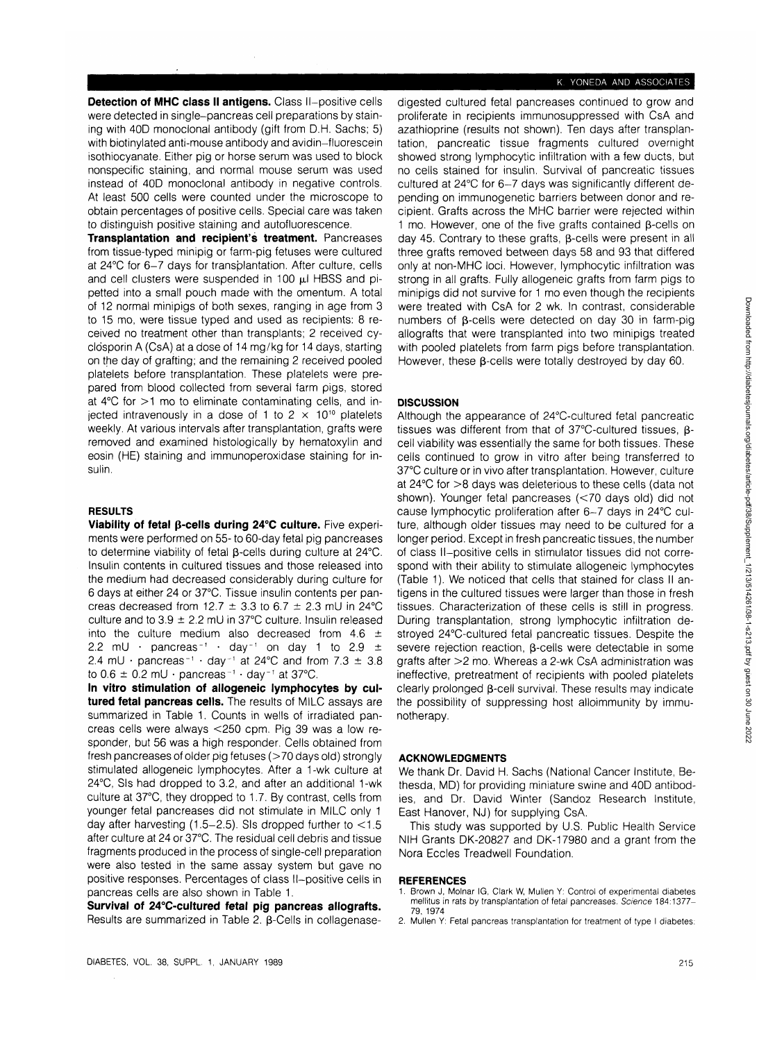**Detection of MHC class II antigens.** Class **II—**positive cells were detected in single-pancreas cell preparations by staining with 40D monoclonal antibody (gift from D.H. Sachs; 5) with biotinylated anti-mouse antibody and avidin-fluorescein isothiocyanate. Either pig or horse serum was used to block nonspecific staining, and normal mouse serum was used instead of 40D monoclonal antibody in negative controls. At least 500 cells were counted under the microscope to obtain percentages of positive cells. Special care was taken to distinguish positive staining and autofluorescence.

**Transplantation and recipient's treatment.** Pancreases from tissue-typed minipig or farm-pig fetuses were cultured at 24°C for 6-7 days for transplantation. After culture, cells and cell clusters were suspended in 100  $\mu$ I HBSS and pipetted into a small pouch made with the omentum. A total of 12 normal minipigs of both sexes, ranging in age from 3 to 15 mo, were tissue typed and used as recipients: 8 received no treatment other than transplants; 2 received cyclosporin A (CsA) at a dose of 14 mg/kg for 14 days, starting on the day of grafting; and the remaining 2 received pooled platelets before transplantation. These platelets were prepared from blood collected from several farm pigs, stored at 4°C for >1 mo to eliminate contaminating cells, and injected intravenously in a dose of 1 to 2  $\times$  10<sup>10</sup> platelets weekly. At various intervals after transplantation, grafts were removed and examined histologically by hematoxylin and eosin (HE) staining and immunoperoxidase staining for insulin.

## **RESULTS**

**Viability of fetal p-cells during 24°C culture.** Five experiments were performed on 55- to 60-day fetal pig pancreases to determine viability of fetal B-cells during culture at 24°C. Insulin contents in cultured tissues and those released into the medium had decreased considerably during culture for 6 days at either 24 or 37°C. Tissue insulin contents per pancreas decreased from 12.7  $\pm$  3.3 to 6.7  $\pm$  2.3 mU in 24 °C culture and to  $3.9 \pm 2.2$  mU in 37°C culture. Insulin released into the culture medium also decreased from 4.6  $\pm$ 2.2 mU · pancreas<sup>-1</sup> · day<sup>-1</sup> on day 1 to 2.9  $\pm$ 2.4 mU  $\cdot$  pancreas<sup>-1</sup>  $\cdot$  day<sup>-1</sup> at 24°C and from 7.3  $\pm$  3.8 to  $0.6 \pm 0.2$  mU  $\cdot$  pancreas<sup>-1</sup>  $\cdot$  day<sup>-1</sup> at 37°C.

**In vitro stimulation of allogeneic lymphocytes by cultured fetal pancreas cells.** The results of MILC assays are summarized in Table 1. Counts in wells of irradiated pancreas cells were always <250 cpm. Pig 39 was a low responder, but 56 was a high responder. Cells obtained from fresh pancreases of older pig fetuses (>70 days old) strongly stimulated allogeneic lymphocytes. After a 1-wk culture at 24°C, Sis had dropped to 3.2, and after an additional 1-wk culture at 37°C, they dropped to 1.7. By contrast, cells from younger fetal pancreases did not stimulate in MILC only 1 day after harvesting  $(1.5-2.5)$ . Sis dropped further to  $< 1.5$ after culture at 24 or 37°C. The residual cell debris and tissue fragments produced in the process of single-cell preparation were also tested in the same assay system but gave no positive responses. Percentages of class II—positive cells in pancreas cells are also shown in Table 1.

**Survival of 24°C-cultured fetal pig pancreas allografts.** Results are summarized in Table 2.  $\beta$ -Cells in collagenasedigested cultured fetal pancreases continued to grow and proliferate in recipients immunosuppressed with CsA and azathioprine (results not shown). Ten days after transplantation, pancreatic tissue fragments cultured overnight showed strong lymphocytic infiltration with a few ducts, but no cells stained for insulin. Survival of pancreatic tissues cultured at 24°C for 6-7 days was significantly different depending on immunogenetic barriers between donor and recipient. Grafts across the MHC barrier were rejected within 1 mo. However, one of the five grafts contained  $\beta$ -cells on day 45. Contrary to these grafts, β-cells were present in all three grafts removed between days 58 and 93 that differed only at non-MHC loci. However, lymphocytic infiltration was strong in all grafts. Fully allogeneic grafts from farm pigs to minipigs did not survive for 1 mo even though the recipients were treated with CsA for 2 wk. In contrast, considerable numbers of  $\beta$ -cells were detected on day 30 in farm-pig allografts that were transplanted into two minipigs treated with pooled platelets from farm pigs before transplantation. However, these  $\beta$ -cells were totally destroyed by day 60.

## **DISCUSSION**

Although the appearance of 24°C-cultured fetal pancreatic tissues was different from that of 37°C-cultured tissues, pcell viability was essentially the same for both tissues. These cells continued to grow in vitro after being transferred to 37°C culture or in vivo after transplantation. However, culture at 24°C for >8 days was deleterious to these cells (data not shown). Younger fetal pancreases (<70 days old) did not cause lymphocytic proliferation after 6-7 days in 24°C culture, although older tissues may need to be cultured for a longer period. Except in fresh pancreatic tissues, the number of class **II—**positive cells in stimulator tissues did not correspond with their ability to stimulate allogeneic lymphocytes (Table 1). We noticed that cells that stained for class II antigens in the cultured tissues were larger than those in fresh tissues. Characterization of these cells is still in progress. During transplantation, strong lymphocytic infiltration destroyed 24°C-cultured fetal pancreatic tissues. Despite the severe rejection reaction,  $\beta$ -cells were detectable in some grafts after >2 mo. Whereas a 2-wk CsA administration was ineffective, pretreatment of recipients with pooled platelets clearly prolonged  $\beta$ -cell survival. These results may indicate the possibility of suppressing host alloimmunity by immunotherapy.

#### **ACKNOWLEDGMENTS**

We thank Dr. David H. Sachs (National Cancer Institute, Bethesda, MD) for providing miniature swine and 40D antibodies, and Dr. David Winter (Sandoz Research Institute, East Hanover, NJ) for supplying CsA.

This study was supported by U.S. Public Health Service NIH Grants DK-20827 and DK-17980 and a grant from the Nora Eccles Treadwell Foundation.

#### **REFERENCES**

- Brown J, Molnar IG, Clark W, Mullen Y: Control of experimental diabetes mellitus in rats by transplantation of fetal pancreases. Science 184:1377- 79, 1974
- 2. Mullen Y: Fetal pancreas transplantation for treatment of type I diabetes: